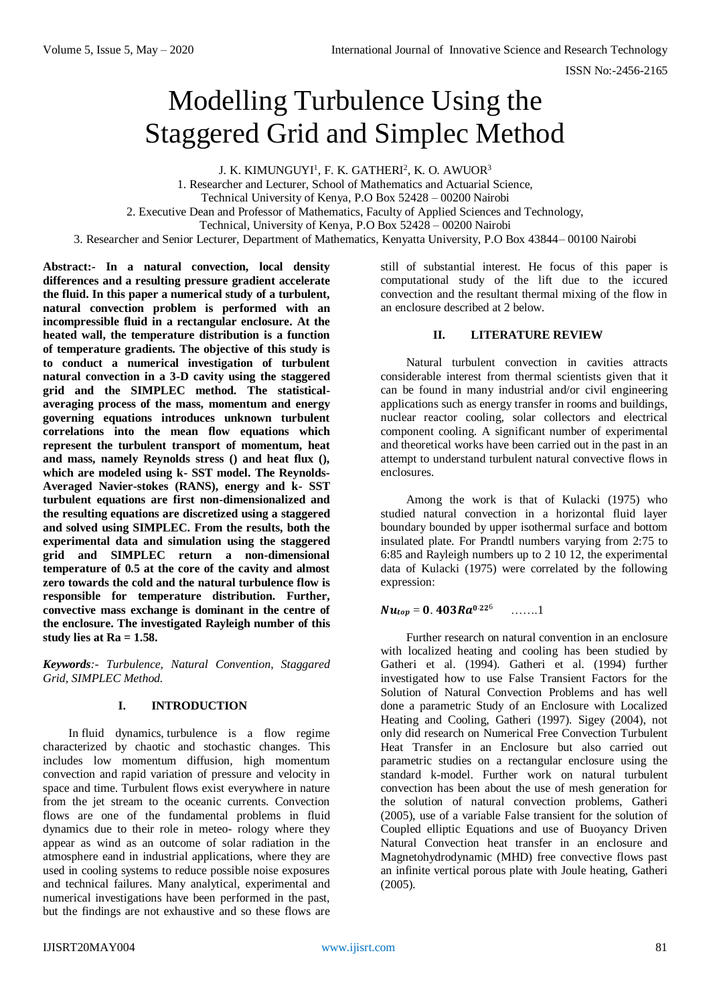# Modelling Turbulence Using the Staggered Grid and Simplec Method

J. K. KIMUNGUYI<sup>1</sup>, F. K. GATHERI<sup>2</sup>, K. O. AWUOR $^3$ 

1. Researcher and Lecturer, School of Mathematics and Actuarial Science,

Technical University of Kenya, P.O Box 52428 – 00200 Nairobi

2. Executive Dean and Professor of Mathematics, Faculty of Applied Sciences and Technology,

Technical, University of Kenya, P.O Box 52428 – 00200 Nairobi

3. Researcher and Senior Lecturer, Department of Mathematics, Kenyatta University, P.O Box 43844– 00100 Nairobi

**Abstract:- In a natural convection, local density differences and a resulting pressure gradient accelerate the fluid. In this paper a numerical study of a turbulent, natural convection problem is performed with an incompressible fluid in a rectangular enclosure. At the heated wall, the temperature distribution is a function of temperature gradients. The objective of this study is to conduct a numerical investigation of turbulent natural convection in a 3-D cavity using the staggered grid and the SIMPLEC method. The statisticalaveraging process of the mass, momentum and energy governing equations introduces unknown turbulent correlations into the mean flow equations which represent the turbulent transport of momentum, heat and mass, namely Reynolds stress () and heat flux (), which are modeled using k- SST model. The Reynolds-Averaged Navier-stokes (RANS), energy and k- SST turbulent equations are first non-dimensionalized and the resulting equations are discretized using a staggered and solved using SIMPLEC. From the results, both the experimental data and simulation using the staggered grid and SIMPLEC return a non-dimensional temperature of 0.5 at the core of the cavity and almost zero towards the cold and the natural turbulence flow is responsible for temperature distribution. Further, convective mass exchange is dominant in the centre of the enclosure. The investigated Rayleigh number of this study lies at Ra = 1.58.**

*Keywords:- Turbulence, Natural Convention, Staggared Grid, SIMPLEC Method.*

#### **I. INTRODUCTION**

In fluid dynamics, turbulence is a flow regime characterized by chaotic and stochastic changes. This includes low momentum diffusion, high momentum convection and rapid variation of pressure and velocity in space and time. Turbulent flows exist everywhere in nature from the jet stream to the oceanic currents. Convection flows are one of the fundamental problems in fluid dynamics due to their role in meteo- rology where they appear as wind as an outcome of solar radiation in the atmosphere eand in industrial applications, where they are used in cooling systems to reduce possible noise exposures and technical failures. Many analytical, experimental and numerical investigations have been performed in the past, but the findings are not exhaustive and so these flows are

still of substantial interest. He focus of this paper is computational study of the lift due to the iccured convection and the resultant thermal mixing of the flow in an enclosure described at 2 below.

### **II. LITERATURE REVIEW**

Natural turbulent convection in cavities attracts considerable interest from thermal scientists given that it can be found in many industrial and/or civil engineering applications such as energy transfer in rooms and buildings, nuclear reactor cooling, solar collectors and electrical component cooling. A significant number of experimental and theoretical works have been carried out in the past in an attempt to understand turbulent natural convective flows in enclosures.

Among the work is that of Kulacki (1975) who studied natural convection in a horizontal fluid layer boundary bounded by upper isothermal surface and bottom insulated plate. For Prandtl numbers varying from 2:75 to 6:85 and Rayleigh numbers up to 2 10 12, the experimental data of Kulacki (1975) were correlated by the following expression:

#### $Nu_{top} = 0.403 Ra^{0.226}$ …….1

Further research on natural convention in an enclosure with localized heating and cooling has been studied by Gatheri et al. (1994). Gatheri et al. (1994) further investigated how to use False Transient Factors for the Solution of Natural Convection Problems and has well done a parametric Study of an Enclosure with Localized Heating and Cooling, Gatheri (1997). Sigey (2004), not only did research on Numerical Free Convection Turbulent Heat Transfer in an Enclosure but also carried out parametric studies on a rectangular enclosure using the standard k-model. Further work on natural turbulent convection has been about the use of mesh generation for the solution of natural convection problems, Gatheri (2005), use of a variable False transient for the solution of Coupled elliptic Equations and use of Buoyancy Driven Natural Convection heat transfer in an enclosure and Magnetohydrodynamic (MHD) free convective flows past an infinite vertical porous plate with Joule heating, Gatheri (2005).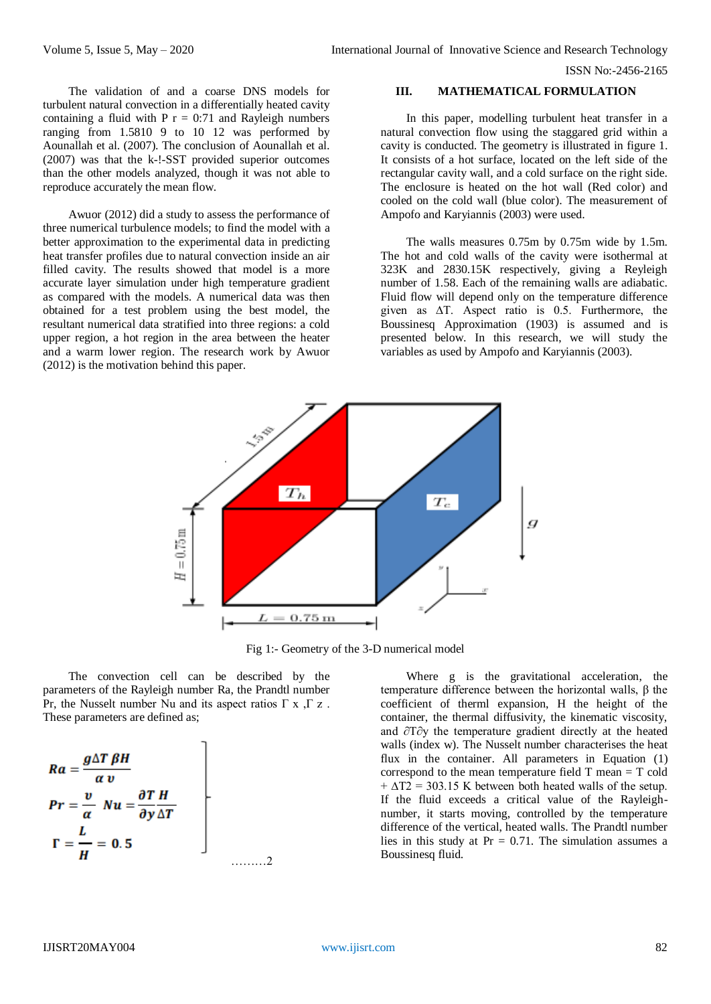The validation of and a coarse DNS models for turbulent natural convection in a differentially heated cavity containing a fluid with  $P r = 0:71$  and Rayleigh numbers ranging from 1.5810 9 to 10 12 was performed by Aounallah et al. (2007). The conclusion of Aounallah et al. (2007) was that the k-!-SST provided superior outcomes than the other models analyzed, though it was not able to reproduce accurately the mean flow.

Awuor (2012) did a study to assess the performance of three numerical turbulence models; to find the model with a better approximation to the experimental data in predicting heat transfer profiles due to natural convection inside an air filled cavity. The results showed that model is a more accurate layer simulation under high temperature gradient as compared with the models. A numerical data was then obtained for a test problem using the best model, the resultant numerical data stratified into three regions: a cold upper region, a hot region in the area between the heater and a warm lower region. The research work by Awuor (2012) is the motivation behind this paper.

# **III. MATHEMATICAL FORMULATION**

In this paper, modelling turbulent heat transfer in a natural convection flow using the staggared grid within a cavity is conducted. The geometry is illustrated in figure 1. It consists of a hot surface, located on the left side of the rectangular cavity wall, and a cold surface on the right side. The enclosure is heated on the hot wall (Red color) and cooled on the cold wall (blue color). The measurement of Ampofo and Karyiannis (2003) were used.

The walls measures 0.75m by 0.75m wide by 1.5m. The hot and cold walls of the cavity were isothermal at 323K and 2830.15K respectively, giving a Reyleigh number of 1.58. Each of the remaining walls are adiabatic. Fluid flow will depend only on the temperature difference given as ∆T. Aspect ratio is 0.5. Furthermore, the Boussinesq Approximation (1903) is assumed and is presented below. In this research, we will study the variables as used by Ampofo and Karyiannis (2003).



Fig 1:- Geometry of the 3-D numerical model

The convection cell can be described by the parameters of the Rayleigh number Ra, the Prandtl number Pr, the Nusselt number Nu and its aspect ratios  $\Gamma$  x ,  $\Gamma$  z. These parameters are defined as;

$$
Ra = \frac{g\Delta T \beta H}{\alpha v}
$$
  
Pr =  $\frac{v}{\alpha}$  Nu =  $\frac{\partial T H}{\partial y \Delta T}$   

$$
\Gamma = \frac{L}{H} = 0.5
$$

Where g is the gravitational acceleration, the temperature difference between the horizontal walls, β the coefficient of therml expansion, H the height of the container, the thermal diffusivity, the kinematic viscosity, and ∂T∂y the temperature gradient directly at the heated walls (index w). The Nusselt number characterises the heat flux in the container. All parameters in Equation (1) correspond to the mean temperature field T mean = T cold  $+ \Delta T2 = 303.15$  K between both heated walls of the setup. If the fluid exceeds a critical value of the Rayleighnumber, it starts moving, controlled by the temperature difference of the vertical, heated walls. The Prandtl number lies in this study at  $Pr = 0.71$ . The simulation assumes a Boussinesq fluid.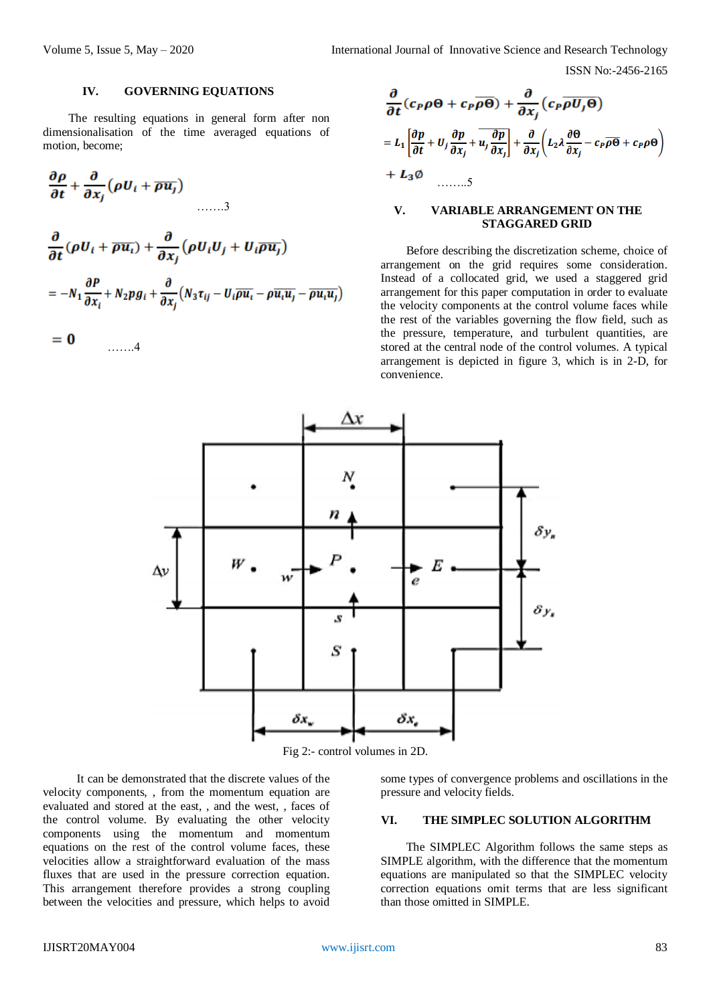## **IV. GOVERNING EQUATIONS**

The resulting equations in general form after non dimensionalisation of the time averaged equations of motion, become;

$$
\frac{\partial \rho}{\partial t} + \frac{\partial}{\partial x_j} (\rho U_i + \overline{\rho u_j})
$$
\n
$$
\dots \dots 3
$$
\n
$$
\frac{\partial}{\partial t} (\rho U_i + \overline{\rho u_i}) + \frac{\partial}{\partial x_j} (\rho U_i U_j + U_i \overline{\rho u_j})
$$
\n
$$
= -N_1 \frac{\partial P}{\partial x_i} + N_2 \rho g_i + \frac{\partial}{\partial x_j} (N_3 \tau_{ij} - U_i \overline{\rho u_i} - \rho \overline{u_i u_j} - \overline{\rho u_i u_j})
$$

$$
= 0 \qquad \qquad \dots \dots 4
$$

$$
\frac{\partial}{\partial t}(c_P \rho \Theta + c_P \overline{\rho \Theta}) + \frac{\partial}{\partial x_j}(c_P \overline{\rho U_j \Theta})
$$
\n
$$
= L_1 \left[ \frac{\partial p}{\partial t} + U_j \frac{\partial p}{\partial x_j} + \overline{u_j} \frac{\partial p}{\partial x_j} \right] + \frac{\partial}{\partial x_j} \left( L_2 \lambda \frac{\partial \Theta}{\partial x_j} - c_P \overline{\rho \Theta} + c_P \rho \Theta \right)
$$
\n
$$
+ L_3 \emptyset \qquad \qquad \dots \dots 5
$$

#### **V. VARIABLE ARRANGEMENT ON THE STAGGARED GRID**

Before describing the discretization scheme, choice of arrangement on the grid requires some consideration. Instead of a collocated grid, we used a staggered grid arrangement for this paper computation in order to evaluate the velocity components at the control volume faces while the rest of the variables governing the flow field, such as the pressure, temperature, and turbulent quantities, are stored at the central node of the control volumes. A typical arrangement is depicted in figure 3, which is in 2-D, for convenience.



Fig 2:- control volumes in 2D.

It can be demonstrated that the discrete values of the velocity components, , from the momentum equation are evaluated and stored at the east, , and the west, , faces of the control volume. By evaluating the other velocity components using the momentum and momentum equations on the rest of the control volume faces, these velocities allow a straightforward evaluation of the mass fluxes that are used in the pressure correction equation. This arrangement therefore provides a strong coupling between the velocities and pressure, which helps to avoid

some types of convergence problems and oscillations in the pressure and velocity fields.

# **VI. THE SIMPLEC SOLUTION ALGORITHM**

The SIMPLEC Algorithm follows the same steps as SIMPLE algorithm, with the difference that the momentum equations are manipulated so that the SIMPLEC velocity correction equations omit terms that are less significant than those omitted in SIMPLE.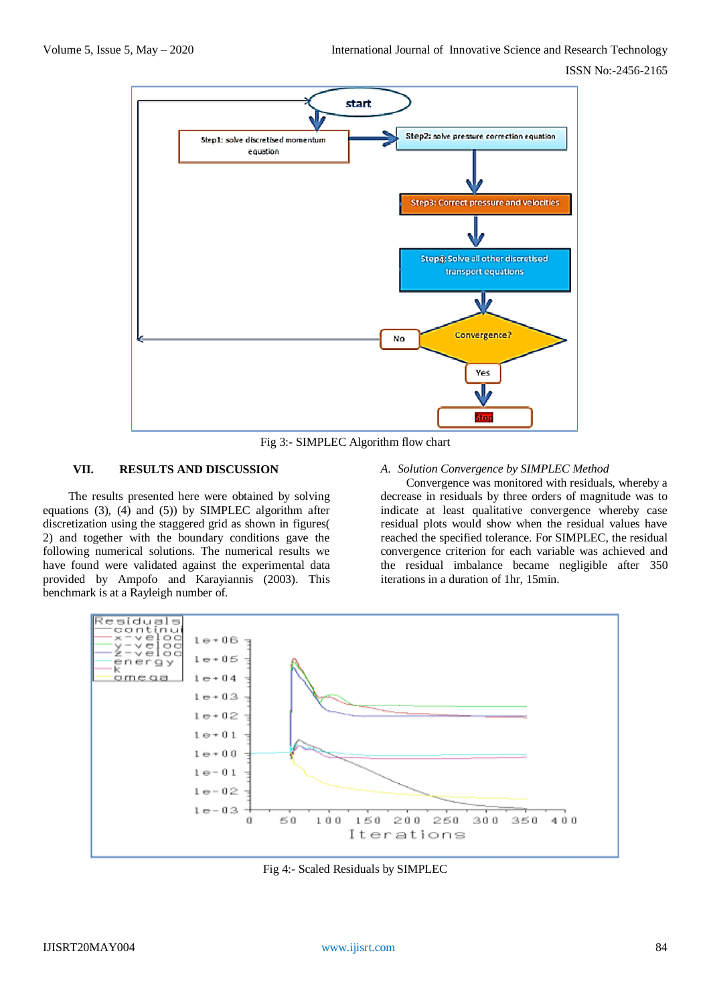

Fig 3:- SIMPLEC Algorithm flow chart

# **VII. RESULTS AND DISCUSSION**

The results presented here were obtained by solving equations (3), (4) and (5)) by SIMPLEC algorithm after discretization using the staggered grid as shown in figures( 2) and together with the boundary conditions gave the following numerical solutions. The numerical results we have found were validated against the experimental data provided by Ampofo and Karayiannis (2003). This benchmark is at a Rayleigh number of.

## *A. Solution Convergence by SIMPLEC Method*

Convergence was monitored with residuals, whereby a decrease in residuals by three orders of magnitude was to indicate at least qualitative convergence whereby case residual plots would show when the residual values have reached the specified tolerance. For SIMPLEC, the residual convergence criterion for each variable was achieved and the residual imbalance became negligible after 350 iterations in a duration of 1hr, 15min.



Fig 4:- Scaled Residuals by SIMPLEC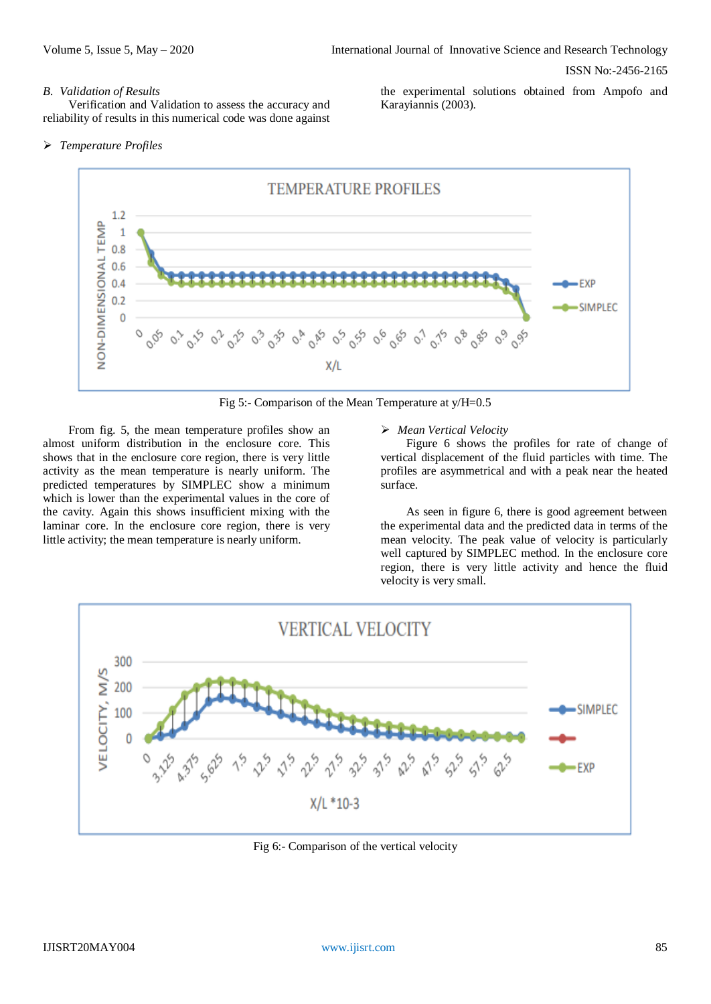#### *B. Validation of Results*

Verification and Validation to assess the accuracy and reliability of results in this numerical code was done against the experimental solutions obtained from Ampofo and Karayiannis (2003).

#### *Temperature Profiles*



Fig 5:- Comparison of the Mean Temperature at y/H=0.5

From fig. 5, the mean temperature profiles show an almost uniform distribution in the enclosure core. This shows that in the enclosure core region, there is very little activity as the mean temperature is nearly uniform. The predicted temperatures by SIMPLEC show a minimum which is lower than the experimental values in the core of the cavity. Again this shows insufficient mixing with the laminar core. In the enclosure core region, there is very little activity; the mean temperature is nearly uniform.

#### *Mean Vertical Velocity*

Figure 6 shows the profiles for rate of change of vertical displacement of the fluid particles with time. The profiles are asymmetrical and with a peak near the heated surface.

As seen in figure 6, there is good agreement between the experimental data and the predicted data in terms of the mean velocity. The peak value of velocity is particularly well captured by SIMPLEC method. In the enclosure core region, there is very little activity and hence the fluid velocity is very small.



Fig 6:- Comparison of the vertical velocity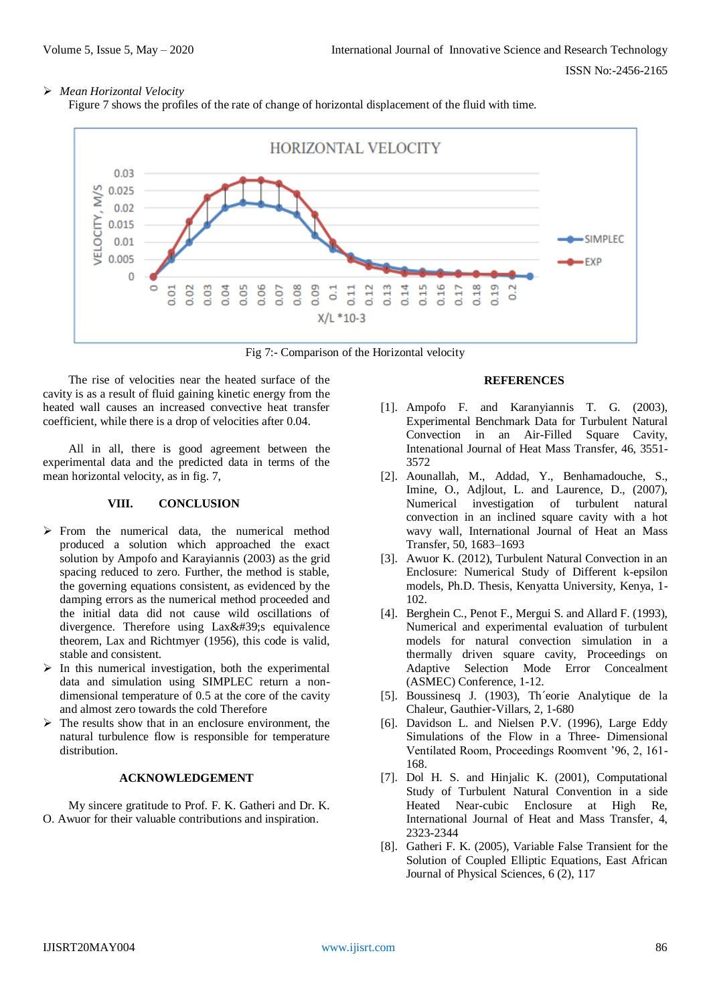# *Mean Horizontal Velocity*

Figure 7 shows the profiles of the rate of change of horizontal displacement of the fluid with time.



Fig 7:- Comparison of the Horizontal velocity

The rise of velocities near the heated surface of the cavity is as a result of fluid gaining kinetic energy from the heated wall causes an increased convective heat transfer coefficient, while there is a drop of velocities after 0.04.

All in all, there is good agreement between the experimental data and the predicted data in terms of the mean horizontal velocity, as in fig. 7,

# **VIII. CONCLUSION**

- $\triangleright$  From the numerical data, the numerical method produced a solution which approached the exact solution by Ampofo and Karayiannis (2003) as the grid spacing reduced to zero. Further, the method is stable, the governing equations consistent, as evidenced by the damping errors as the numerical method proceeded and the initial data did not cause wild oscillations of divergence. Therefore using Lax's equivalence theorem, Lax and Richtmyer (1956), this code is valid, stable and consistent.
- $\triangleright$  In this numerical investigation, both the experimental data and simulation using SIMPLEC return a nondimensional temperature of 0.5 at the core of the cavity and almost zero towards the cold Therefore
- $\triangleright$  The results show that in an enclosure environment, the natural turbulence flow is responsible for temperature distribution.

# **ACKNOWLEDGEMENT**

My sincere gratitude to Prof. F. K. Gatheri and Dr. K. O. Awuor for their valuable contributions and inspiration.

#### **REFERENCES**

- [1]. Ampofo F. and Karanyiannis T. G. (2003), Experimental Benchmark Data for Turbulent Natural Convection in an Air-Filled Square Cavity, Intenational Journal of Heat Mass Transfer, 46, 3551- 3572
- [2]. Aounallah, M., Addad, Y., Benhamadouche, S., Imine, O., Adjlout, L. and Laurence, D., (2007), Numerical investigation of turbulent natural convection in an inclined square cavity with a hot wavy wall, International Journal of Heat an Mass Transfer, 50, 1683–1693
- [3]. Awuor K. (2012), Turbulent Natural Convection in an Enclosure: Numerical Study of Different k-epsilon models, Ph.D. Thesis, Kenyatta University, Kenya, 1- 102.
- [4]. Berghein C., Penot F., Mergui S. and Allard F. (1993), Numerical and experimental evaluation of turbulent models for natural convection simulation in a thermally driven square cavity, Proceedings on Adaptive Selection Mode Error Concealment (ASMEC) Conference, 1-12.
- [5]. Boussinesq J. (1903), Th´eorie Analytique de la Chaleur, Gauthier-Villars, 2, 1-680
- [6]. Davidson L. and Nielsen P.V. (1996), Large Eddy Simulations of the Flow in a Three- Dimensional Ventilated Room, Proceedings Roomvent '96, 2, 161- 168.
- [7]. Dol H. S. and Hinjalic K. (2001), Computational Study of Turbulent Natural Convention in a side Heated Near-cubic Enclosure at High Re, International Journal of Heat and Mass Transfer, 4, 2323-2344
- [8]. Gatheri F. K. (2005), Variable False Transient for the Solution of Coupled Elliptic Equations, East African Journal of Physical Sciences, 6 (2), 117